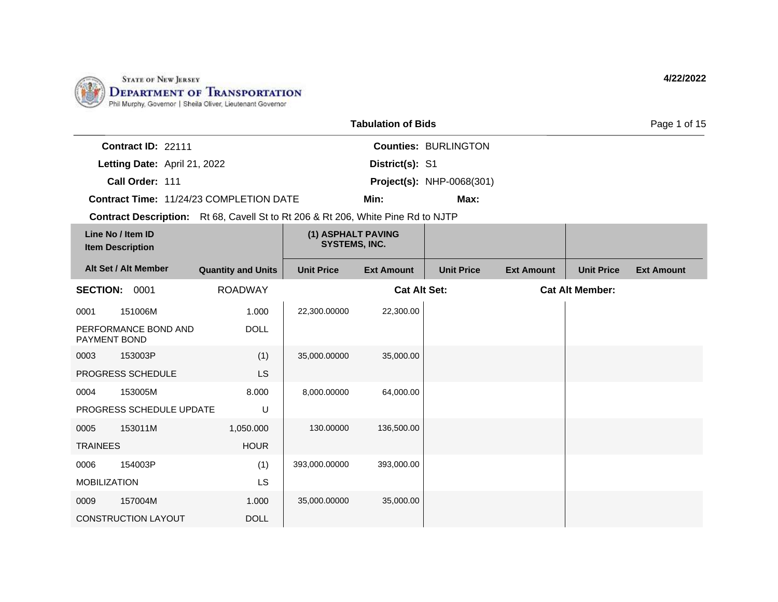

0009 157004M

CONSTRUCTION LAYOUT

1.000 DOLL

|                                                                                         |                           |                                            | <b>Tabulation of Bids</b> |                                  |                   |                        | Page 1 of 15      |
|-----------------------------------------------------------------------------------------|---------------------------|--------------------------------------------|---------------------------|----------------------------------|-------------------|------------------------|-------------------|
| Contract ID: 22111                                                                      |                           |                                            |                           | <b>Counties: BURLINGTON</b>      |                   |                        |                   |
| Letting Date: April 21, 2022                                                            |                           |                                            | District(s): S1           |                                  |                   |                        |                   |
| Call Order: 111                                                                         |                           |                                            |                           | <b>Project(s): NHP-0068(301)</b> |                   |                        |                   |
| <b>Contract Time: 11/24/23 COMPLETION DATE</b>                                          |                           |                                            | Min:                      | Max:                             |                   |                        |                   |
| <b>Contract Description:</b> Rt 68, Cavell St to Rt 206 & Rt 206, White Pine Rd to NJTP |                           |                                            |                           |                                  |                   |                        |                   |
| Line No / Item ID<br><b>Item Description</b>                                            |                           | (1) ASPHALT PAVING<br><b>SYSTEMS, INC.</b> |                           |                                  |                   |                        |                   |
| Alt Set / Alt Member                                                                    | <b>Quantity and Units</b> | <b>Unit Price</b>                          | <b>Ext Amount</b>         | <b>Unit Price</b>                | <b>Ext Amount</b> | <b>Unit Price</b>      | <b>Ext Amount</b> |
| <b>SECTION:</b><br>0001                                                                 | <b>ROADWAY</b>            |                                            | <b>Cat Alt Set:</b>       |                                  |                   | <b>Cat Alt Member:</b> |                   |
| 151006M<br>0001                                                                         | 1.000                     | 22,300.00000                               | 22,300.00                 |                                  |                   |                        |                   |
| PERFORMANCE BOND AND<br>PAYMENT BOND                                                    | <b>DOLL</b>               |                                            |                           |                                  |                   |                        |                   |
| 153003P<br>0003                                                                         | (1)                       | 35,000.00000                               | 35,000.00                 |                                  |                   |                        |                   |
| PROGRESS SCHEDULE                                                                       | LS                        |                                            |                           |                                  |                   |                        |                   |
| 153005M<br>0004                                                                         | 8.000                     | 8,000.00000                                | 64,000.00                 |                                  |                   |                        |                   |
| PROGRESS SCHEDULE UPDATE                                                                | U                         |                                            |                           |                                  |                   |                        |                   |
| 153011M<br>0005                                                                         | 1,050.000                 | 130.00000                                  | 136,500.00                |                                  |                   |                        |                   |
| <b>TRAINEES</b>                                                                         | <b>HOUR</b>               |                                            |                           |                                  |                   |                        |                   |
| 154003P<br>0006                                                                         | (1)                       | 393,000.00000                              | 393,000.00                |                                  |                   |                        |                   |
| <b>MOBILIZATION</b>                                                                     | LS                        |                                            |                           |                                  |                   |                        |                   |

35,000.00000 35,000.00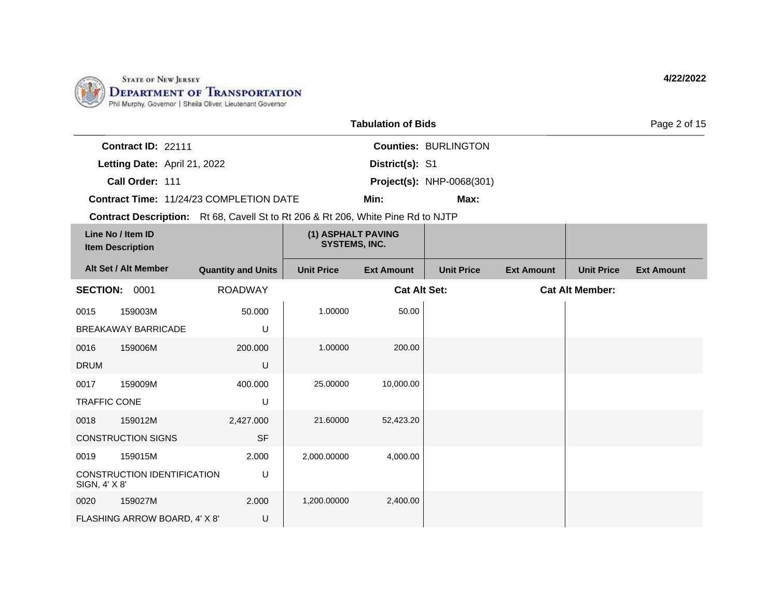

0020 159027M

FLASHING ARROW BOARD, 4' X 8'

2.000 U

|                     |                                              |                                                                                         |                                            | <b>Tabulation of Bids</b> |                                  |                   |                        | Page 2 of 15      |
|---------------------|----------------------------------------------|-----------------------------------------------------------------------------------------|--------------------------------------------|---------------------------|----------------------------------|-------------------|------------------------|-------------------|
|                     | Contract ID: 22111                           |                                                                                         |                                            |                           | <b>Counties: BURLINGTON</b>      |                   |                        |                   |
|                     | Letting Date: April 21, 2022                 |                                                                                         |                                            | District(s): S1           |                                  |                   |                        |                   |
|                     | Call Order: 111                              |                                                                                         |                                            |                           | <b>Project(s): NHP-0068(301)</b> |                   |                        |                   |
|                     |                                              | <b>Contract Time: 11/24/23 COMPLETION DATE</b>                                          |                                            | Min:                      | Max:                             |                   |                        |                   |
|                     |                                              | <b>Contract Description:</b> Rt 68, Cavell St to Rt 206 & Rt 206, White Pine Rd to NJTP |                                            |                           |                                  |                   |                        |                   |
|                     | Line No / Item ID<br><b>Item Description</b> |                                                                                         | (1) ASPHALT PAVING<br><b>SYSTEMS, INC.</b> |                           |                                  |                   |                        |                   |
|                     | Alt Set / Alt Member                         | <b>Quantity and Units</b>                                                               | <b>Unit Price</b>                          | <b>Ext Amount</b>         | <b>Unit Price</b>                | <b>Ext Amount</b> | <b>Unit Price</b>      | <b>Ext Amount</b> |
| <b>SECTION:</b>     | 0001                                         | <b>ROADWAY</b>                                                                          |                                            | <b>Cat Alt Set:</b>       |                                  |                   | <b>Cat Alt Member:</b> |                   |
| 0015                | 159003M                                      | 50,000                                                                                  | 1.00000                                    | 50.00                     |                                  |                   |                        |                   |
|                     | <b>BREAKAWAY BARRICADE</b>                   | U                                                                                       |                                            |                           |                                  |                   |                        |                   |
| 0016                | 159006M                                      | 200,000                                                                                 | 1.00000                                    | 200.00                    |                                  |                   |                        |                   |
| <b>DRUM</b>         |                                              | U                                                                                       |                                            |                           |                                  |                   |                        |                   |
| 0017                | 159009M                                      | 400.000                                                                                 | 25.00000                                   | 10,000.00                 |                                  |                   |                        |                   |
| <b>TRAFFIC CONE</b> |                                              | U                                                                                       |                                            |                           |                                  |                   |                        |                   |
| 0018                | 159012M                                      | 2,427.000                                                                               | 21.60000                                   | 52,423.20                 |                                  |                   |                        |                   |
|                     | <b>CONSTRUCTION SIGNS</b>                    | <b>SF</b>                                                                               |                                            |                           |                                  |                   |                        |                   |
| 0019                | 159015M                                      | 2.000                                                                                   | 2,000.00000                                | 4,000.00                  |                                  |                   |                        |                   |
| SIGN, 4' X 8'       | <b>CONSTRUCTION IDENTIFICATION</b>           | U                                                                                       |                                            |                           |                                  |                   |                        |                   |

1,200.00000 2,400.00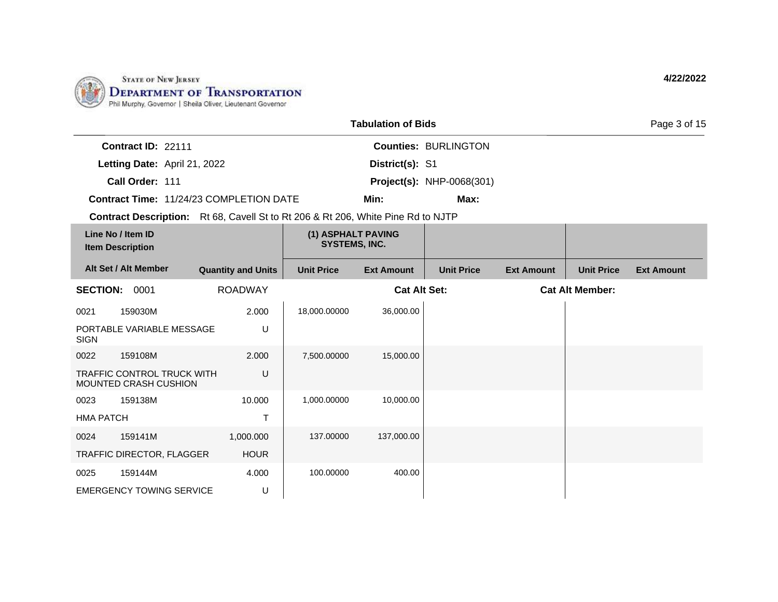

|                                              |                                                                   |                                                                                         |                                            | <b>Tabulation of Bids</b> |                                  |                   |                        | Page 3 of 15      |
|----------------------------------------------|-------------------------------------------------------------------|-----------------------------------------------------------------------------------------|--------------------------------------------|---------------------------|----------------------------------|-------------------|------------------------|-------------------|
|                                              | Contract ID: 22111                                                |                                                                                         |                                            |                           | <b>Counties: BURLINGTON</b>      |                   |                        |                   |
|                                              | Letting Date: April 21, 2022                                      |                                                                                         |                                            | District(s): S1           |                                  |                   |                        |                   |
|                                              | Call Order: 111                                                   |                                                                                         |                                            |                           | <b>Project(s): NHP-0068(301)</b> |                   |                        |                   |
|                                              |                                                                   | <b>Contract Time: 11/24/23 COMPLETION DATE</b>                                          |                                            | Min:                      | Max:                             |                   |                        |                   |
|                                              |                                                                   | <b>Contract Description:</b> Rt 68, Cavell St to Rt 206 & Rt 206, White Pine Rd to NJTP |                                            |                           |                                  |                   |                        |                   |
| Line No / Item ID<br><b>Item Description</b> |                                                                   |                                                                                         | (1) ASPHALT PAVING<br><b>SYSTEMS, INC.</b> |                           |                                  |                   |                        |                   |
|                                              | Alt Set / Alt Member                                              | <b>Quantity and Units</b>                                                               | <b>Unit Price</b>                          | <b>Ext Amount</b>         | <b>Unit Price</b>                | <b>Ext Amount</b> | <b>Unit Price</b>      | <b>Ext Amount</b> |
| <b>SECTION: 0001</b>                         |                                                                   | <b>ROADWAY</b>                                                                          |                                            | <b>Cat Alt Set:</b>       |                                  |                   | <b>Cat Alt Member:</b> |                   |
| 0021                                         | 159030M                                                           | 2.000                                                                                   | 18,000.00000                               | 36,000.00                 |                                  |                   |                        |                   |
| <b>SIGN</b>                                  | PORTABLE VARIABLE MESSAGE                                         | U                                                                                       |                                            |                           |                                  |                   |                        |                   |
| 0022                                         | 159108M                                                           | 2.000                                                                                   | 7,500.00000                                | 15,000.00                 |                                  |                   |                        |                   |
|                                              | <b>TRAFFIC CONTROL TRUCK WITH</b><br><b>MOUNTED CRASH CUSHION</b> | U                                                                                       |                                            |                           |                                  |                   |                        |                   |
| 0023                                         | 159138M                                                           | 10.000                                                                                  | 1,000.00000                                | 10,000.00                 |                                  |                   |                        |                   |
| <b>HMA PATCH</b>                             |                                                                   | $\mathsf{T}$                                                                            |                                            |                           |                                  |                   |                        |                   |
| 0024                                         | 159141M                                                           | 1,000.000                                                                               | 137.00000                                  | 137,000.00                |                                  |                   |                        |                   |
|                                              | TRAFFIC DIRECTOR, FLAGGER                                         | <b>HOUR</b>                                                                             |                                            |                           |                                  |                   |                        |                   |
| 0025                                         | 159144M                                                           | 4.000                                                                                   | 100.00000                                  | 400.00                    |                                  |                   |                        |                   |
|                                              | <b>EMERGENCY TOWING SERVICE</b>                                   | U                                                                                       |                                            |                           |                                  |                   |                        |                   |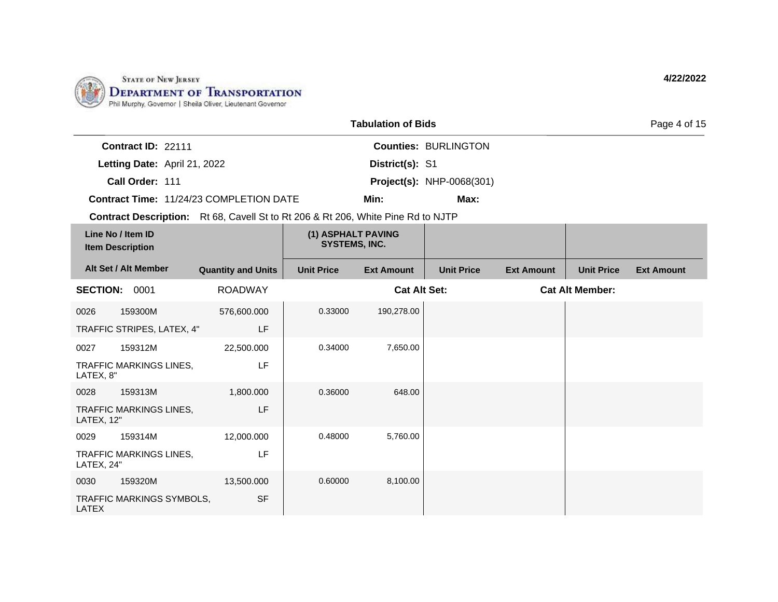

|                                              |                              |                                                                                         |                                            | <b>Tabulation of Bids</b> |                                  |                   |                        | Page 4 of 15      |
|----------------------------------------------|------------------------------|-----------------------------------------------------------------------------------------|--------------------------------------------|---------------------------|----------------------------------|-------------------|------------------------|-------------------|
|                                              | Contract ID: 22111           |                                                                                         |                                            |                           | <b>Counties: BURLINGTON</b>      |                   |                        |                   |
|                                              | Letting Date: April 21, 2022 |                                                                                         |                                            | District(s): S1           |                                  |                   |                        |                   |
|                                              | Call Order: 111              |                                                                                         |                                            |                           | <b>Project(s): NHP-0068(301)</b> |                   |                        |                   |
|                                              |                              | Contract Time: 11/24/23 COMPLETION DATE                                                 |                                            | Min:                      | Max:                             |                   |                        |                   |
|                                              |                              | <b>Contract Description:</b> Rt 68, Cavell St to Rt 206 & Rt 206, White Pine Rd to NJTP |                                            |                           |                                  |                   |                        |                   |
| Line No / Item ID<br><b>Item Description</b> |                              |                                                                                         | (1) ASPHALT PAVING<br><b>SYSTEMS, INC.</b> |                           |                                  |                   |                        |                   |
|                                              | Alt Set / Alt Member         | <b>Quantity and Units</b>                                                               | <b>Unit Price</b>                          | <b>Ext Amount</b>         | <b>Unit Price</b>                | <b>Ext Amount</b> | <b>Unit Price</b>      | <b>Ext Amount</b> |
| <b>SECTION: 0001</b>                         |                              | <b>ROADWAY</b>                                                                          |                                            | <b>Cat Alt Set:</b>       |                                  |                   | <b>Cat Alt Member:</b> |                   |
| 0026                                         | 159300M                      | 576,600.000                                                                             | 0.33000                                    | 190,278.00                |                                  |                   |                        |                   |
|                                              | TRAFFIC STRIPES, LATEX, 4"   | LF                                                                                      |                                            |                           |                                  |                   |                        |                   |
| 0027                                         | 159312M                      | 22,500.000                                                                              | 0.34000                                    | 7,650.00                  |                                  |                   |                        |                   |
| LATEX, 8"                                    | TRAFFIC MARKINGS LINES,      | LF                                                                                      |                                            |                           |                                  |                   |                        |                   |
| 0028                                         | 159313M                      | 1,800.000                                                                               | 0.36000                                    | 648.00                    |                                  |                   |                        |                   |
| LATEX, 12"                                   | TRAFFIC MARKINGS LINES,      | LF                                                                                      |                                            |                           |                                  |                   |                        |                   |
| 0029                                         | 159314M                      | 12,000.000                                                                              | 0.48000                                    | 5,760.00                  |                                  |                   |                        |                   |
| LATEX, 24"                                   | TRAFFIC MARKINGS LINES,      | LF                                                                                      |                                            |                           |                                  |                   |                        |                   |
| 0030                                         | 159320M                      | 13,500.000                                                                              | 0.60000                                    | 8,100.00                  |                                  |                   |                        |                   |
| <b>LATEX</b>                                 | TRAFFIC MARKINGS SYMBOLS,    | <b>SF</b>                                                                               |                                            |                           |                                  |                   |                        |                   |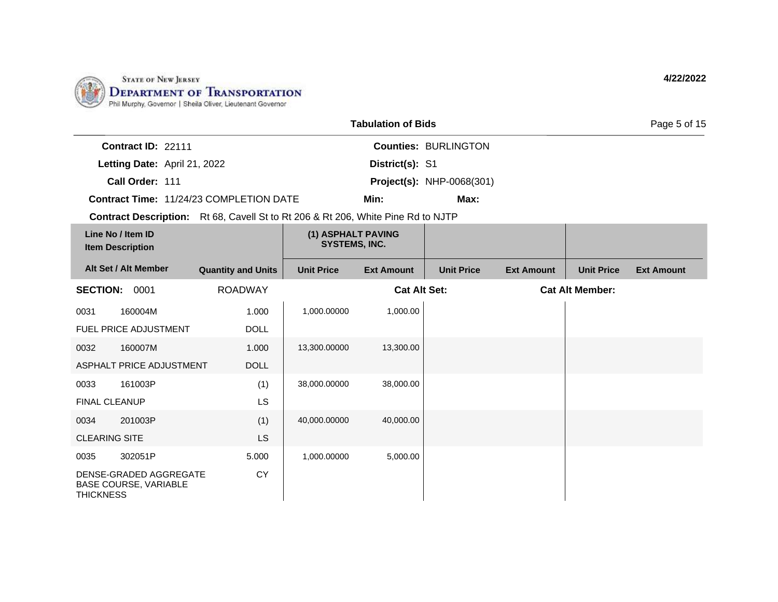

|                      |                                                        |                                                                                         |                                            | <b>Tabulation of Bids</b> |                                  |                   |                        | Page 5 of 15      |
|----------------------|--------------------------------------------------------|-----------------------------------------------------------------------------------------|--------------------------------------------|---------------------------|----------------------------------|-------------------|------------------------|-------------------|
|                      | Contract ID: 22111                                     |                                                                                         |                                            |                           | <b>Counties: BURLINGTON</b>      |                   |                        |                   |
|                      | Letting Date: April 21, 2022                           |                                                                                         |                                            | District(s): S1           |                                  |                   |                        |                   |
|                      | Call Order: 111                                        |                                                                                         |                                            |                           | <b>Project(s): NHP-0068(301)</b> |                   |                        |                   |
|                      |                                                        | <b>Contract Time: 11/24/23 COMPLETION DATE</b>                                          |                                            | Min:                      | Max:                             |                   |                        |                   |
|                      |                                                        | <b>Contract Description:</b> Rt 68, Cavell St to Rt 206 & Rt 206, White Pine Rd to NJTP |                                            |                           |                                  |                   |                        |                   |
|                      | Line No / Item ID<br><b>Item Description</b>           |                                                                                         | (1) ASPHALT PAVING<br><b>SYSTEMS, INC.</b> |                           |                                  |                   |                        |                   |
|                      | Alt Set / Alt Member                                   | <b>Quantity and Units</b>                                                               | <b>Unit Price</b>                          | <b>Ext Amount</b>         | <b>Unit Price</b>                | <b>Ext Amount</b> | <b>Unit Price</b>      | <b>Ext Amount</b> |
| SECTION: 0001        |                                                        | <b>ROADWAY</b>                                                                          |                                            | <b>Cat Alt Set:</b>       |                                  |                   | <b>Cat Alt Member:</b> |                   |
| 0031                 | 160004M                                                | 1.000                                                                                   | 1,000.00000                                | 1,000.00                  |                                  |                   |                        |                   |
|                      | FUEL PRICE ADJUSTMENT                                  | <b>DOLL</b>                                                                             |                                            |                           |                                  |                   |                        |                   |
| 0032                 | 160007M                                                | 1.000                                                                                   | 13,300.00000                               | 13,300.00                 |                                  |                   |                        |                   |
|                      | ASPHALT PRICE ADJUSTMENT                               | <b>DOLL</b>                                                                             |                                            |                           |                                  |                   |                        |                   |
| 0033                 | 161003P                                                | (1)                                                                                     | 38,000.00000                               | 38,000.00                 |                                  |                   |                        |                   |
| <b>FINAL CLEANUP</b> |                                                        | LS                                                                                      |                                            |                           |                                  |                   |                        |                   |
| 0034                 | 201003P                                                | (1)                                                                                     | 40,000.00000                               | 40,000.00                 |                                  |                   |                        |                   |
| <b>CLEARING SITE</b> |                                                        | LS                                                                                      |                                            |                           |                                  |                   |                        |                   |
| 0035                 | 302051P                                                | 5.000                                                                                   | 1.000.00000                                | 5,000.00                  |                                  |                   |                        |                   |
| <b>THICKNESS</b>     | DENSE-GRADED AGGREGATE<br><b>BASE COURSE, VARIABLE</b> | <b>CY</b>                                                                               |                                            |                           |                                  |                   |                        |                   |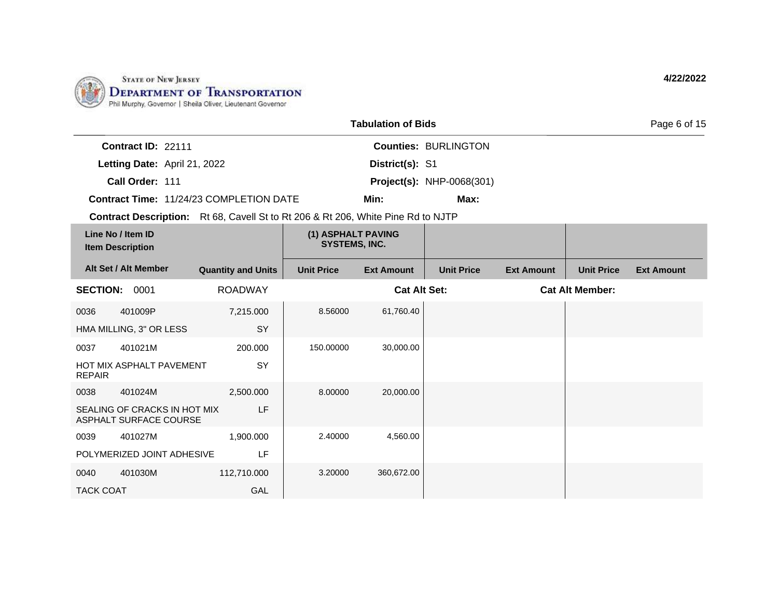

|                                              |                                                        |                                                                                         |                                            | <b>Tabulation of Bids</b> |                                  |                   |                        | Page 6 of 15      |
|----------------------------------------------|--------------------------------------------------------|-----------------------------------------------------------------------------------------|--------------------------------------------|---------------------------|----------------------------------|-------------------|------------------------|-------------------|
|                                              | Contract ID: 22111                                     |                                                                                         |                                            |                           | <b>Counties: BURLINGTON</b>      |                   |                        |                   |
|                                              | Letting Date: April 21, 2022                           |                                                                                         |                                            | District(s): S1           |                                  |                   |                        |                   |
|                                              | Call Order: 111                                        |                                                                                         |                                            |                           | <b>Project(s): NHP-0068(301)</b> |                   |                        |                   |
|                                              |                                                        | <b>Contract Time: 11/24/23 COMPLETION DATE</b>                                          |                                            | Min:                      | Max:                             |                   |                        |                   |
|                                              |                                                        | <b>Contract Description:</b> Rt 68, Cavell St to Rt 206 & Rt 206, White Pine Rd to NJTP |                                            |                           |                                  |                   |                        |                   |
| Line No / Item ID<br><b>Item Description</b> |                                                        |                                                                                         | (1) ASPHALT PAVING<br><b>SYSTEMS, INC.</b> |                           |                                  |                   |                        |                   |
|                                              | Alt Set / Alt Member                                   | <b>Quantity and Units</b>                                                               | <b>Unit Price</b>                          | <b>Ext Amount</b>         | <b>Unit Price</b>                | <b>Ext Amount</b> | <b>Unit Price</b>      | <b>Ext Amount</b> |
| <b>SECTION: 0001</b>                         |                                                        | <b>ROADWAY</b>                                                                          |                                            | <b>Cat Alt Set:</b>       |                                  |                   | <b>Cat Alt Member:</b> |                   |
| 0036                                         | 401009P                                                | 7,215.000                                                                               | 8.56000                                    | 61,760.40                 |                                  |                   |                        |                   |
|                                              | HMA MILLING, 3" OR LESS                                | SY                                                                                      |                                            |                           |                                  |                   |                        |                   |
| 0037                                         | 401021M                                                | 200.000                                                                                 | 150.00000                                  | 30,000.00                 |                                  |                   |                        |                   |
| <b>REPAIR</b>                                | HOT MIX ASPHALT PAVEMENT                               | SY                                                                                      |                                            |                           |                                  |                   |                        |                   |
| 0038                                         | 401024M                                                | 2,500.000                                                                               | 8.00000                                    | 20,000.00                 |                                  |                   |                        |                   |
|                                              | SEALING OF CRACKS IN HOT MIX<br>ASPHALT SURFACE COURSE | LF                                                                                      |                                            |                           |                                  |                   |                        |                   |
| 0039                                         | 401027M                                                | 1,900.000                                                                               | 2.40000                                    | 4,560.00                  |                                  |                   |                        |                   |
|                                              | POLYMERIZED JOINT ADHESIVE                             | LF                                                                                      |                                            |                           |                                  |                   |                        |                   |
| 0040                                         | 401030M                                                | 112,710.000                                                                             | 3.20000                                    | 360,672.00                |                                  |                   |                        |                   |
| <b>TACK COAT</b>                             |                                                        | GAL                                                                                     |                                            |                           |                                  |                   |                        |                   |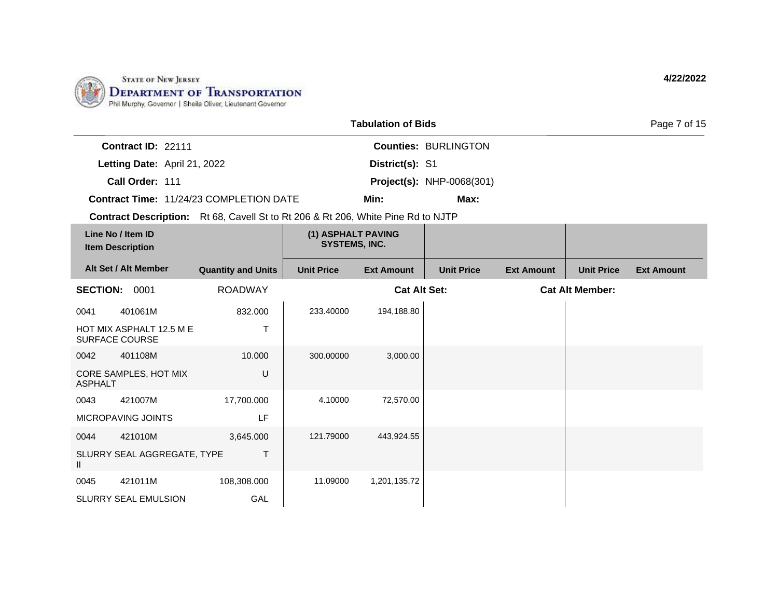

II

0045 421011M

SLURRY SEAL EMULSION

108,308.000

GAL

|                                                                                         |                           |                                            | <b>Tabulation of Bids</b> |                                  |                   |                        | Page 7 of 15      |
|-----------------------------------------------------------------------------------------|---------------------------|--------------------------------------------|---------------------------|----------------------------------|-------------------|------------------------|-------------------|
| Contract ID: 22111                                                                      |                           |                                            |                           | <b>Counties: BURLINGTON</b>      |                   |                        |                   |
| Letting Date: April 21, 2022                                                            |                           |                                            | District(s): S1           |                                  |                   |                        |                   |
| Call Order: 111                                                                         |                           |                                            |                           | <b>Project(s): NHP-0068(301)</b> |                   |                        |                   |
| <b>Contract Time: 11/24/23 COMPLETION DATE</b>                                          |                           |                                            | Min:                      | Max:                             |                   |                        |                   |
| <b>Contract Description:</b> Rt 68, Cavell St to Rt 206 & Rt 206, White Pine Rd to NJTP |                           |                                            |                           |                                  |                   |                        |                   |
| Line No / Item ID<br><b>Item Description</b>                                            |                           | (1) ASPHALT PAVING<br><b>SYSTEMS, INC.</b> |                           |                                  |                   |                        |                   |
| Alt Set / Alt Member                                                                    | <b>Quantity and Units</b> | <b>Unit Price</b>                          | <b>Ext Amount</b>         | <b>Unit Price</b>                | <b>Ext Amount</b> | <b>Unit Price</b>      | <b>Ext Amount</b> |
| <b>SECTION: 0001</b>                                                                    | <b>ROADWAY</b>            |                                            | <b>Cat Alt Set:</b>       |                                  |                   | <b>Cat Alt Member:</b> |                   |
| 0041<br>401061M                                                                         | 832.000                   | 233.40000                                  | 194,188.80                |                                  |                   |                        |                   |
| HOT MIX ASPHALT 12.5 M E<br><b>SURFACE COURSE</b>                                       | Т                         |                                            |                           |                                  |                   |                        |                   |
| 401108M<br>0042                                                                         | 10.000                    | 300.00000                                  | 3,000.00                  |                                  |                   |                        |                   |
| CORE SAMPLES, HOT MIX<br><b>ASPHALT</b>                                                 | U                         |                                            |                           |                                  |                   |                        |                   |
| 421007M<br>0043                                                                         | 17,700.000                | 4.10000                                    | 72,570.00                 |                                  |                   |                        |                   |
| <b>MICROPAVING JOINTS</b>                                                               | LF                        |                                            |                           |                                  |                   |                        |                   |
| 421010M<br>0044                                                                         | 3,645.000                 | 121.79000                                  | 443,924.55                |                                  |                   |                        |                   |
| SLURRY SEAL AGGREGATE, TYPE                                                             | Τ                         |                                            |                           |                                  |                   |                        |                   |

11.09000 1,201,135.72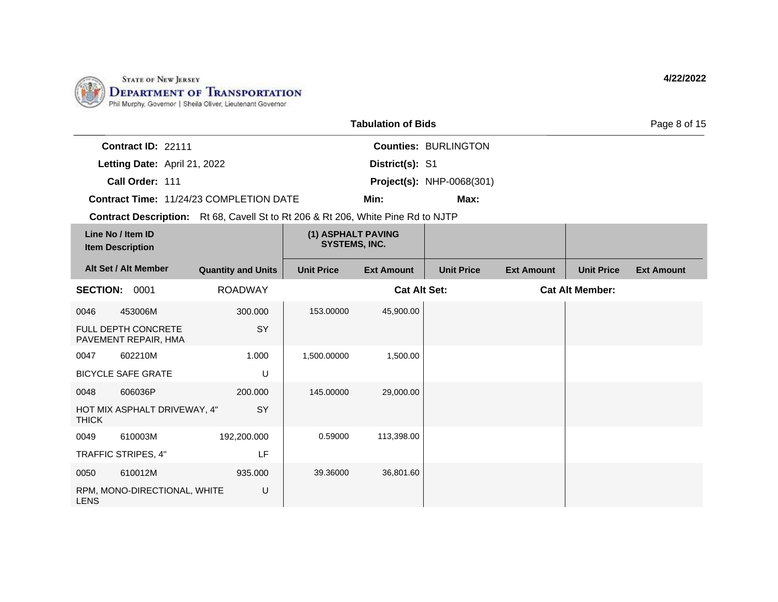

|                 |                                              |                                                                                         |                                            | <b>Tabulation of Bids</b> |                                  |                   |                        | Page 8 of 15      |
|-----------------|----------------------------------------------|-----------------------------------------------------------------------------------------|--------------------------------------------|---------------------------|----------------------------------|-------------------|------------------------|-------------------|
|                 | Contract ID: 22111                           |                                                                                         |                                            |                           | <b>Counties: BURLINGTON</b>      |                   |                        |                   |
|                 | Letting Date: April 21, 2022                 |                                                                                         |                                            | District(s): S1           |                                  |                   |                        |                   |
|                 | Call Order: 111                              |                                                                                         |                                            |                           | <b>Project(s): NHP-0068(301)</b> |                   |                        |                   |
|                 |                                              | Contract Time: 11/24/23 COMPLETION DATE                                                 |                                            | Min:                      | Max:                             |                   |                        |                   |
|                 |                                              | <b>Contract Description:</b> Rt 68, Cavell St to Rt 206 & Rt 206, White Pine Rd to NJTP |                                            |                           |                                  |                   |                        |                   |
|                 | Line No / Item ID<br><b>Item Description</b> |                                                                                         | (1) ASPHALT PAVING<br><b>SYSTEMS, INC.</b> |                           |                                  |                   |                        |                   |
|                 | Alt Set / Alt Member                         | <b>Quantity and Units</b>                                                               | <b>Unit Price</b>                          | <b>Ext Amount</b>         | <b>Unit Price</b>                | <b>Ext Amount</b> | <b>Unit Price</b>      | <b>Ext Amount</b> |
| <b>SECTION:</b> | 0001                                         | <b>ROADWAY</b>                                                                          |                                            | <b>Cat Alt Set:</b>       |                                  |                   | <b>Cat Alt Member:</b> |                   |
| 0046            | 453006M                                      | 300.000                                                                                 | 153.00000                                  | 45,900.00                 |                                  |                   |                        |                   |
|                 | FULL DEPTH CONCRETE<br>PAVEMENT REPAIR, HMA  | SY                                                                                      |                                            |                           |                                  |                   |                        |                   |
| 0047            | 602210M                                      | 1.000                                                                                   | 1,500.00000                                | 1,500.00                  |                                  |                   |                        |                   |
|                 | <b>BICYCLE SAFE GRATE</b>                    | U                                                                                       |                                            |                           |                                  |                   |                        |                   |
| 0048            | 606036P                                      | 200.000                                                                                 | 145.00000                                  | 29,000.00                 |                                  |                   |                        |                   |
| <b>THICK</b>    | HOT MIX ASPHALT DRIVEWAY, 4"                 | <b>SY</b>                                                                               |                                            |                           |                                  |                   |                        |                   |
| 0049            | 610003M                                      | 192,200.000                                                                             | 0.59000                                    | 113,398.00                |                                  |                   |                        |                   |
|                 | TRAFFIC STRIPES, 4"                          | LF                                                                                      |                                            |                           |                                  |                   |                        |                   |
| 0050            | 610012M                                      | 935.000                                                                                 | 39.36000                                   | 36,801.60                 |                                  |                   |                        |                   |
| <b>LENS</b>     | RPM, MONO-DIRECTIONAL, WHITE                 | U                                                                                       |                                            |                           |                                  |                   |                        |                   |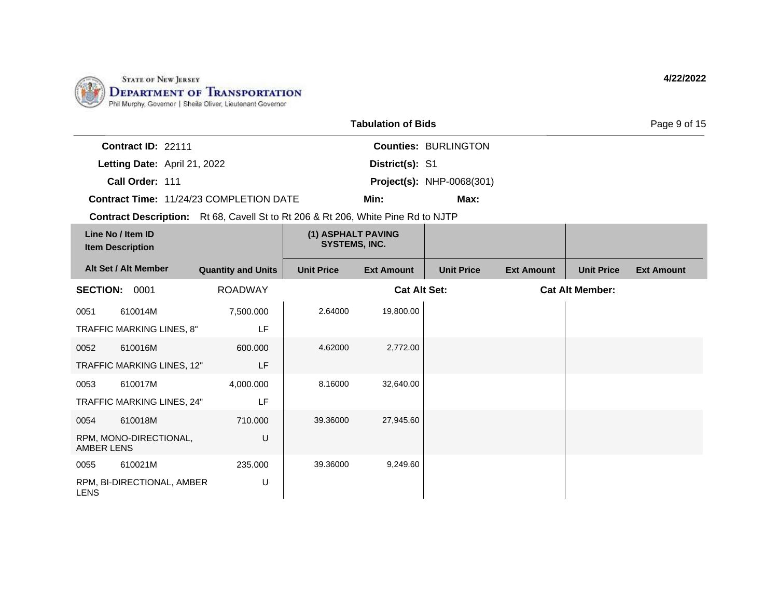

|                                                                                  |                           |                                            | <b>Tabulation of Bids</b> |                                  |                   |                        | Page 9 of 15      |
|----------------------------------------------------------------------------------|---------------------------|--------------------------------------------|---------------------------|----------------------------------|-------------------|------------------------|-------------------|
| Contract ID: 22111                                                               |                           |                                            |                           | <b>Counties: BURLINGTON</b>      |                   |                        |                   |
| Letting Date: April 21, 2022                                                     |                           |                                            | District(s): S1           |                                  |                   |                        |                   |
| Call Order: 111                                                                  |                           |                                            |                           | <b>Project(s): NHP-0068(301)</b> |                   |                        |                   |
| Contract Time: 11/24/23 COMPLETION DATE                                          |                           |                                            | Min:                      | Max:                             |                   |                        |                   |
| Contract Description: Rt 68, Cavell St to Rt 206 & Rt 206, White Pine Rd to NJTP |                           |                                            |                           |                                  |                   |                        |                   |
| Line No / Item ID<br><b>Item Description</b>                                     |                           | (1) ASPHALT PAVING<br><b>SYSTEMS, INC.</b> |                           |                                  |                   |                        |                   |
| Alt Set / Alt Member                                                             | <b>Quantity and Units</b> | <b>Unit Price</b>                          | <b>Ext Amount</b>         | <b>Unit Price</b>                | <b>Ext Amount</b> | <b>Unit Price</b>      | <b>Ext Amount</b> |
| <b>SECTION: 0001</b>                                                             | <b>ROADWAY</b>            |                                            | <b>Cat Alt Set:</b>       |                                  |                   | <b>Cat Alt Member:</b> |                   |
| 610014M<br>0051                                                                  | 7,500.000                 | 2.64000                                    | 19,800.00                 |                                  |                   |                        |                   |
| TRAFFIC MARKING LINES, 8"                                                        | LF                        |                                            |                           |                                  |                   |                        |                   |
| 610016M<br>0052                                                                  | 600,000                   | 4.62000                                    | 2,772.00                  |                                  |                   |                        |                   |
| TRAFFIC MARKING LINES, 12"                                                       | LF                        |                                            |                           |                                  |                   |                        |                   |
| 0053<br>610017M                                                                  | 4,000.000                 | 8.16000                                    | 32,640.00                 |                                  |                   |                        |                   |
| TRAFFIC MARKING LINES, 24"                                                       | LF                        |                                            |                           |                                  |                   |                        |                   |
| 610018M<br>0054                                                                  | 710.000                   | 39.36000                                   | 27,945.60                 |                                  |                   |                        |                   |
| RPM, MONO-DIRECTIONAL,<br><b>AMBER LENS</b>                                      | U                         |                                            |                           |                                  |                   |                        |                   |
| 0055<br>610021M                                                                  | 235.000                   | 39.36000                                   | 9,249.60                  |                                  |                   |                        |                   |
| RPM, BI-DIRECTIONAL, AMBER<br><b>LENS</b>                                        | U                         |                                            |                           |                                  |                   |                        |                   |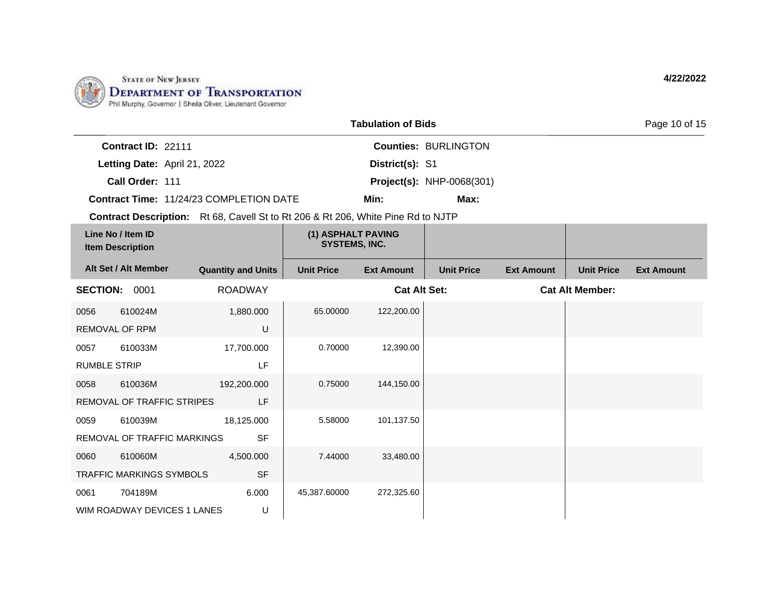

17,700.000

192,200.000

18,125.000

4,500.000

LF

LF

SF

SF

6.000 U

0057 610033M RUMBLE STRIP

0058 610036M

0059 610039M

0060 610060M

0061 704189M

REMOVAL OF TRAFFIC STRIPES

REMOVAL OF TRAFFIC MARKINGS

TRAFFIC MARKINGS SYMBOLS

WIM ROADWAY DEVICES 1 LANES

|                                                                                         |                           |                                            | <b>Tabulation of Bids</b> |                                  |                   |                        | Page 10 of 15     |
|-----------------------------------------------------------------------------------------|---------------------------|--------------------------------------------|---------------------------|----------------------------------|-------------------|------------------------|-------------------|
| Contract ID: 22111                                                                      |                           |                                            |                           | <b>Counties: BURLINGTON</b>      |                   |                        |                   |
| Letting Date: April 21, 2022                                                            |                           |                                            | District(s): S1           |                                  |                   |                        |                   |
| Call Order: 111                                                                         |                           |                                            |                           | <b>Project(s): NHP-0068(301)</b> |                   |                        |                   |
| <b>Contract Time: 11/24/23 COMPLETION DATE</b>                                          |                           |                                            | Min:                      | Max:                             |                   |                        |                   |
| <b>Contract Description:</b> Rt 68, Cavell St to Rt 206 & Rt 206, White Pine Rd to NJTP |                           |                                            |                           |                                  |                   |                        |                   |
| Line No / Item ID<br><b>Item Description</b>                                            |                           | (1) ASPHALT PAVING<br><b>SYSTEMS, INC.</b> |                           |                                  |                   |                        |                   |
| Alt Set / Alt Member                                                                    | <b>Quantity and Units</b> | <b>Unit Price</b>                          | <b>Ext Amount</b>         | <b>Unit Price</b>                | <b>Ext Amount</b> | <b>Unit Price</b>      | <b>Ext Amount</b> |
| <b>SECTION:</b><br>0001                                                                 | <b>ROADWAY</b>            |                                            | <b>Cat Alt Set:</b>       |                                  |                   | <b>Cat Alt Member:</b> |                   |
| 610024M<br>0056<br><b>REMOVAL OF RPM</b>                                                | 1,880.000<br>U            | 65,00000                                   | 122,200.00                |                                  |                   |                        |                   |

0.70000 12,390.00

0.75000 144,150.00

5.58000 101,137.50

7.44000 33,480.00

45,387.60000 272,325.60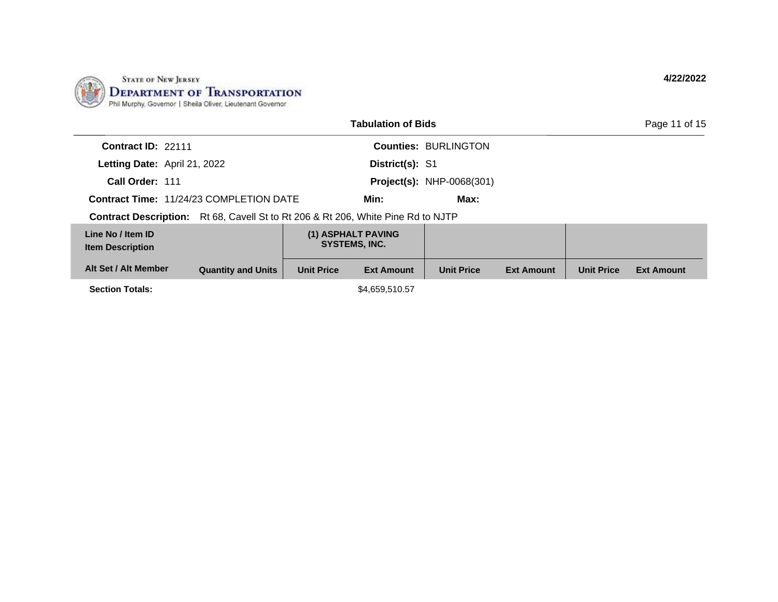

|                                              |                                                            |                   | <b>Tabulation of Bids</b>                  |                                  |                   |                   | Page 11 of 15     |
|----------------------------------------------|------------------------------------------------------------|-------------------|--------------------------------------------|----------------------------------|-------------------|-------------------|-------------------|
| Contract ID: 22111                           |                                                            |                   |                                            | <b>Counties: BURLINGTON</b>      |                   |                   |                   |
|                                              | Letting Date: April 21, 2022                               |                   | District(s): S1                            |                                  |                   |                   |                   |
| Call Order: 111                              |                                                            |                   |                                            | <b>Project(s): NHP-0068(301)</b> |                   |                   |                   |
|                                              | <b>Contract Time: 11/24/23 COMPLETION DATE</b>             |                   | Min:                                       | Max:                             |                   |                   |                   |
| <b>Contract Description:</b>                 | Rt 68, Cavell St to Rt 206 & Rt 206, White Pine Rd to NJTP |                   |                                            |                                  |                   |                   |                   |
| Line No / Item ID<br><b>Item Description</b> |                                                            |                   | (1) ASPHALT PAVING<br><b>SYSTEMS, INC.</b> |                                  |                   |                   |                   |
| Alt Set / Alt Member                         | <b>Quantity and Units</b>                                  | <b>Unit Price</b> | <b>Ext Amount</b>                          | <b>Unit Price</b>                | <b>Ext Amount</b> | <b>Unit Price</b> | <b>Ext Amount</b> |
| <b>Section Totals:</b>                       |                                                            |                   | \$4,659,510.57                             |                                  |                   |                   |                   |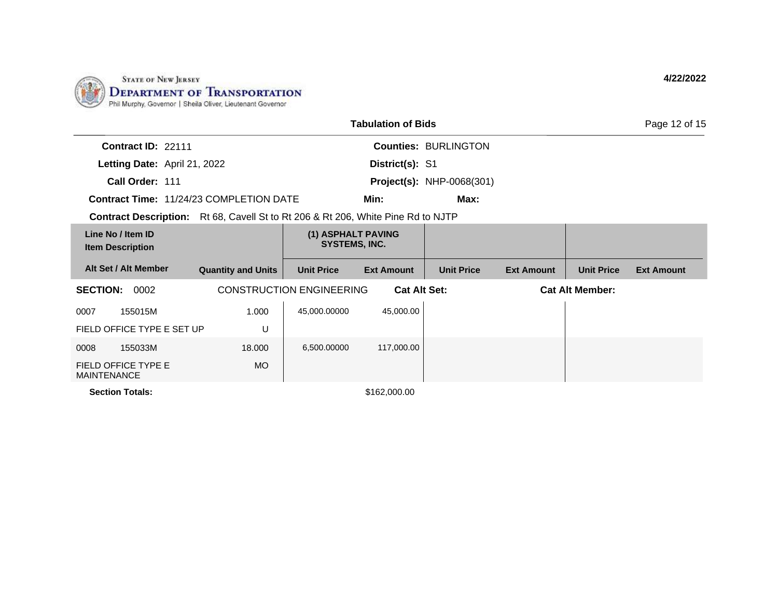

| <b>Tabulation of Bids</b><br>Page 12 of 15                                              |                           |                                            |                     |                                  |                   |                        |                   |
|-----------------------------------------------------------------------------------------|---------------------------|--------------------------------------------|---------------------|----------------------------------|-------------------|------------------------|-------------------|
| Contract ID: 22111                                                                      |                           |                                            |                     | <b>Counties: BURLINGTON</b>      |                   |                        |                   |
| Letting Date: April 21, 2022                                                            |                           |                                            | District(s): S1     |                                  |                   |                        |                   |
| Call Order: 111                                                                         |                           |                                            |                     | <b>Project(s): NHP-0068(301)</b> |                   |                        |                   |
| <b>Contract Time: 11/24/23 COMPLETION DATE</b>                                          |                           |                                            | Min:                | Max:                             |                   |                        |                   |
| <b>Contract Description:</b> Rt 68, Cavell St to Rt 206 & Rt 206, White Pine Rd to NJTP |                           |                                            |                     |                                  |                   |                        |                   |
| Line No / Item ID<br><b>Item Description</b>                                            |                           | (1) ASPHALT PAVING<br><b>SYSTEMS, INC.</b> |                     |                                  |                   |                        |                   |
| Alt Set / Alt Member                                                                    | <b>Quantity and Units</b> | <b>Unit Price</b>                          | <b>Ext Amount</b>   | <b>Unit Price</b>                | <b>Ext Amount</b> | <b>Unit Price</b>      | <b>Ext Amount</b> |
| <b>SECTION:</b><br>0002                                                                 |                           | <b>CONSTRUCTION ENGINEERING</b>            | <b>Cat Alt Set:</b> |                                  |                   | <b>Cat Alt Member:</b> |                   |
| 155015M<br>0007                                                                         | 1.000                     | 45,000.00000                               | 45,000.00           |                                  |                   |                        |                   |
| FIELD OFFICE TYPE E SET UP                                                              | U                         |                                            |                     |                                  |                   |                        |                   |
| 155033M<br>0008                                                                         | 18,000                    | 6,500.00000                                | 117,000.00          |                                  |                   |                        |                   |
| FIELD OFFICE TYPE E<br><b>MAINTENANCE</b>                                               | MO                        |                                            |                     |                                  |                   |                        |                   |
| <b>Section Totals:</b>                                                                  |                           |                                            | \$162,000.00        |                                  |                   |                        |                   |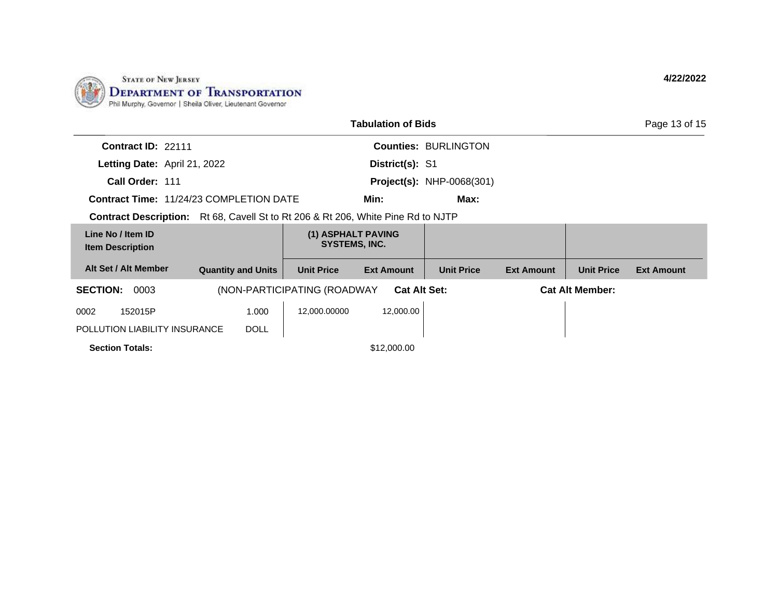

|                                                                                         |                           |                                            | <b>Tabulation of Bids</b> |                                  |                   |                        | Page 13 of 15     |
|-----------------------------------------------------------------------------------------|---------------------------|--------------------------------------------|---------------------------|----------------------------------|-------------------|------------------------|-------------------|
| Contract ID: 22111                                                                      |                           |                                            |                           | <b>Counties: BURLINGTON</b>      |                   |                        |                   |
| Letting Date: April 21, 2022                                                            |                           |                                            | District(s): S1           |                                  |                   |                        |                   |
| Call Order: 111                                                                         |                           |                                            |                           | <b>Project(s): NHP-0068(301)</b> |                   |                        |                   |
| <b>Contract Time: 11/24/23 COMPLETION DATE</b>                                          |                           |                                            | Min:                      | Max:                             |                   |                        |                   |
| <b>Contract Description:</b> Rt 68, Cavell St to Rt 206 & Rt 206, White Pine Rd to NJTP |                           |                                            |                           |                                  |                   |                        |                   |
| Line No / Item ID<br><b>Item Description</b>                                            |                           | (1) ASPHALT PAVING<br><b>SYSTEMS, INC.</b> |                           |                                  |                   |                        |                   |
| Alt Set / Alt Member                                                                    | <b>Quantity and Units</b> | <b>Unit Price</b>                          | <b>Ext Amount</b>         | <b>Unit Price</b>                | <b>Ext Amount</b> | <b>Unit Price</b>      | <b>Ext Amount</b> |
| <b>SECTION:</b><br>0003                                                                 |                           | (NON-PARTICIPATING (ROADWAY)               | <b>Cat Alt Set:</b>       |                                  |                   | <b>Cat Alt Member:</b> |                   |
| 0002<br>152015P                                                                         | 1.000                     | 12,000.00000                               | 12,000.00                 |                                  |                   |                        |                   |
| POLLUTION LIABILITY INSURANCE                                                           | <b>DOLL</b>               |                                            |                           |                                  |                   |                        |                   |
| <b>Section Totals:</b>                                                                  |                           |                                            | \$12,000.00               |                                  |                   |                        |                   |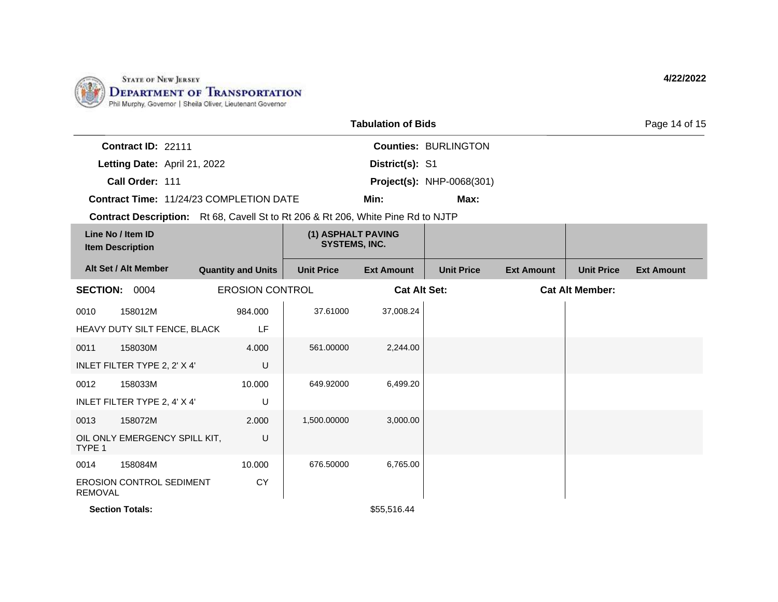

|                                                                                         | <b>Tabulation of Bids</b> |                                            |                     |                                  |                   | Page 14 of 15          |                   |
|-----------------------------------------------------------------------------------------|---------------------------|--------------------------------------------|---------------------|----------------------------------|-------------------|------------------------|-------------------|
| Contract ID: 22111                                                                      |                           |                                            |                     | <b>Counties: BURLINGTON</b>      |                   |                        |                   |
| Letting Date: April 21, 2022                                                            |                           |                                            | District(s): S1     |                                  |                   |                        |                   |
| Call Order: 111                                                                         |                           |                                            |                     | <b>Project(s): NHP-0068(301)</b> |                   |                        |                   |
| Contract Time: 11/24/23 COMPLETION DATE                                                 |                           |                                            | Min:                | Max:                             |                   |                        |                   |
| <b>Contract Description:</b> Rt 68, Cavell St to Rt 206 & Rt 206, White Pine Rd to NJTP |                           |                                            |                     |                                  |                   |                        |                   |
| Line No / Item ID<br><b>Item Description</b>                                            |                           | (1) ASPHALT PAVING<br><b>SYSTEMS, INC.</b> |                     |                                  |                   |                        |                   |
| Alt Set / Alt Member                                                                    | <b>Quantity and Units</b> | <b>Unit Price</b>                          | <b>Ext Amount</b>   | <b>Unit Price</b>                | <b>Ext Amount</b> | <b>Unit Price</b>      | <b>Ext Amount</b> |
| <b>SECTION:</b><br>0004                                                                 | <b>EROSION CONTROL</b>    |                                            | <b>Cat Alt Set:</b> |                                  |                   | <b>Cat Alt Member:</b> |                   |
| 158012M<br>0010                                                                         | 984.000                   | 37.61000                                   | 37,008.24           |                                  |                   |                        |                   |
| HEAVY DUTY SILT FENCE, BLACK                                                            | LF                        |                                            |                     |                                  |                   |                        |                   |
| 158030M<br>0011                                                                         | 4.000                     | 561.00000                                  | 2,244.00            |                                  |                   |                        |                   |
| INLET FILTER TYPE 2, 2' X 4'                                                            | U                         |                                            |                     |                                  |                   |                        |                   |
| 158033M<br>0012                                                                         | 10.000                    | 649.92000                                  | 6,499.20            |                                  |                   |                        |                   |
| INLET FILTER TYPE 2, 4' X 4'                                                            | U                         |                                            |                     |                                  |                   |                        |                   |
| 158072M<br>0013                                                                         | 2.000                     | 1,500.00000                                | 3,000.00            |                                  |                   |                        |                   |
| OIL ONLY EMERGENCY SPILL KIT,<br>TYPE 1                                                 | U                         |                                            |                     |                                  |                   |                        |                   |
| 158084M<br>0014                                                                         | 10.000                    | 676.50000                                  | 6,765.00            |                                  |                   |                        |                   |
| <b>EROSION CONTROL SEDIMENT</b><br><b>REMOVAL</b>                                       | <b>CY</b>                 |                                            |                     |                                  |                   |                        |                   |
| <b>Section Totals:</b>                                                                  |                           |                                            | \$55,516.44         |                                  |                   |                        |                   |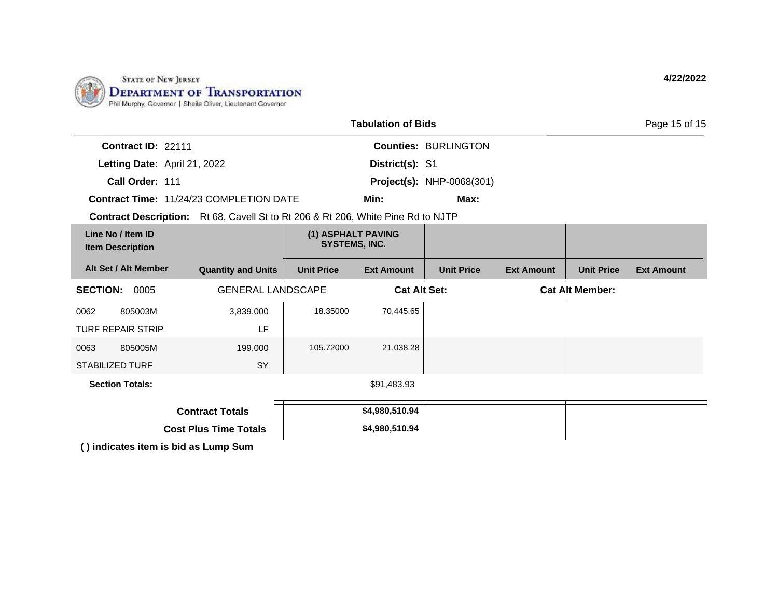

| <b>Tabulation of Bids</b>                                                               |                           |                                            |                   |                                  |                        | Page 15 of 15     |                   |
|-----------------------------------------------------------------------------------------|---------------------------|--------------------------------------------|-------------------|----------------------------------|------------------------|-------------------|-------------------|
| Contract ID: 22111                                                                      |                           |                                            |                   | <b>Counties: BURLINGTON</b>      |                        |                   |                   |
| Letting Date: April 21, 2022                                                            |                           |                                            | District(s): S1   |                                  |                        |                   |                   |
| Call Order: 111                                                                         |                           |                                            |                   | <b>Project(s): NHP-0068(301)</b> |                        |                   |                   |
| <b>Contract Time: 11/24/23 COMPLETION DATE</b>                                          |                           |                                            | Min:              | Max:                             |                        |                   |                   |
| <b>Contract Description:</b> Rt 68, Cavell St to Rt 206 & Rt 206, White Pine Rd to NJTP |                           |                                            |                   |                                  |                        |                   |                   |
| Line No / Item ID<br><b>Item Description</b>                                            |                           | (1) ASPHALT PAVING<br><b>SYSTEMS, INC.</b> |                   |                                  |                        |                   |                   |
| Alt Set / Alt Member                                                                    | <b>Quantity and Units</b> | <b>Unit Price</b>                          | <b>Ext Amount</b> | <b>Unit Price</b>                | <b>Ext Amount</b>      | <b>Unit Price</b> | <b>Ext Amount</b> |
| <b>SECTION: 0005</b>                                                                    | <b>GENERAL LANDSCAPE</b>  | <b>Cat Alt Set:</b>                        |                   |                                  | <b>Cat Alt Member:</b> |                   |                   |
| 805003M<br>0062                                                                         | 3,839.000                 | 18.35000                                   | 70,445.65         |                                  |                        |                   |                   |
| <b>TURF REPAIR STRIP</b>                                                                | LF                        |                                            |                   |                                  |                        |                   |                   |
| 805005M<br>0063                                                                         | 199.000                   | 105.72000                                  | 21,038.28         |                                  |                        |                   |                   |
| <b>STABILIZED TURF</b>                                                                  | SY                        |                                            |                   |                                  |                        |                   |                   |
| <b>Section Totals:</b>                                                                  |                           |                                            | \$91,483.93       |                                  |                        |                   |                   |
| <b>Contract Totals</b>                                                                  |                           |                                            | \$4,980,510.94    |                                  |                        |                   |                   |
| <b>Cost Plus Time Totals</b>                                                            |                           |                                            | \$4,980,510.94    |                                  |                        |                   |                   |
| () indicates item is bid as Lump Sum                                                    |                           |                                            |                   |                                  |                        |                   |                   |